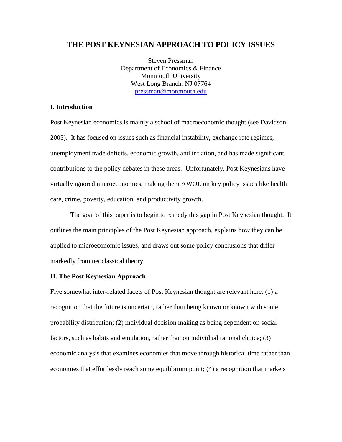# **THE POST KEYNESIAN APPROACH TO POLICY ISSUES**

Steven Pressman Department of Economics & Finance Monmouth University West Long Branch, NJ 07764 [pressman@monmouth.edu](mailto:pressman@monmouth.edu)

# **I. Introduction**

Post Keynesian economics is mainly a school of macroeconomic thought (see Davidson 2005). It has focused on issues such as financial instability, exchange rate regimes, unemployment trade deficits, economic growth, and inflation, and has made significant contributions to the policy debates in these areas. Unfortunately, Post Keynesians have virtually ignored microeconomics, making them AWOL on key policy issues like health care, crime, poverty, education, and productivity growth.

The goal of this paper is to begin to remedy this gap in Post Keynesian thought. It outlines the main principles of the Post Keynesian approach, explains how they can be applied to microeconomic issues, and draws out some policy conclusions that differ markedly from neoclassical theory.

## **II. The Post Keynesian Approach**

Five somewhat inter-related facets of Post Keynesian thought are relevant here: (1) a recognition that the future is uncertain, rather than being known or known with some probability distribution; (2) individual decision making as being dependent on social factors, such as habits and emulation, rather than on individual rational choice; (3) economic analysis that examines economies that move through historical time rather than economies that effortlessly reach some equilibrium point; (4) a recognition that markets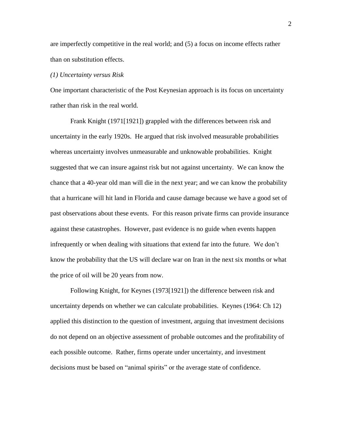are imperfectly competitive in the real world; and (5) a focus on income effects rather than on substitution effects.

### *(1) Uncertainty versus Risk*

One important characteristic of the Post Keynesian approach is its focus on uncertainty rather than risk in the real world.

Frank Knight (1971[1921]) grappled with the differences between risk and uncertainty in the early 1920s. He argued that risk involved measurable probabilities whereas uncertainty involves unmeasurable and unknowable probabilities. Knight suggested that we can insure against risk but not against uncertainty. We can know the chance that a 40-year old man will die in the next year; and we can know the probability that a hurricane will hit land in Florida and cause damage because we have a good set of past observations about these events. For this reason private firms can provide insurance against these catastrophes. However, past evidence is no guide when events happen infrequently or when dealing with situations that extend far into the future. We don't know the probability that the US will declare war on Iran in the next six months or what the price of oil will be 20 years from now.

Following Knight, for Keynes (1973[1921]) the difference between risk and uncertainty depends on whether we can calculate probabilities. Keynes (1964: Ch 12) applied this distinction to the question of investment, arguing that investment decisions do not depend on an objective assessment of probable outcomes and the profitability of each possible outcome. Rather, firms operate under uncertainty, and investment decisions must be based on "animal spirits" or the average state of confidence.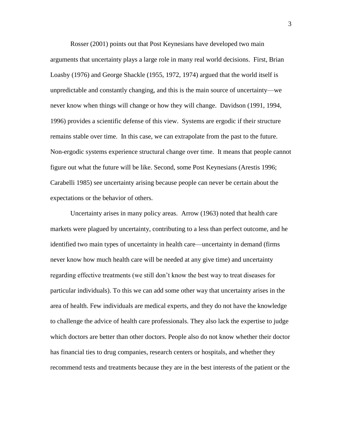Rosser (2001) points out that Post Keynesians have developed two main arguments that uncertainty plays a large role in many real world decisions. First, Brian Loasby (1976) and George Shackle (1955, 1972, 1974) argued that the world itself is unpredictable and constantly changing, and this is the main source of uncertainty—we never know when things will change or how they will change. Davidson (1991, 1994, 1996) provides a scientific defense of this view. Systems are ergodic if their structure remains stable over time. In this case, we can extrapolate from the past to the future. Non-ergodic systems experience structural change over time. It means that people cannot figure out what the future will be like. Second, some Post Keynesians (Arestis 1996; Carabelli 1985) see uncertainty arising because people can never be certain about the expectations or the behavior of others.

Uncertainty arises in many policy areas. Arrow (1963) noted that health care markets were plagued by uncertainty, contributing to a less than perfect outcome, and he identified two main types of uncertainty in health care—uncertainty in demand (firms never know how much health care will be needed at any give time) and uncertainty regarding effective treatments (we still don't know the best way to treat diseases for particular individuals). To this we can add some other way that uncertainty arises in the area of health. Few individuals are medical experts, and they do not have the knowledge to challenge the advice of health care professionals. They also lack the expertise to judge which doctors are better than other doctors. People also do not know whether their doctor has financial ties to drug companies, research centers or hospitals, and whether they recommend tests and treatments because they are in the best interests of the patient or the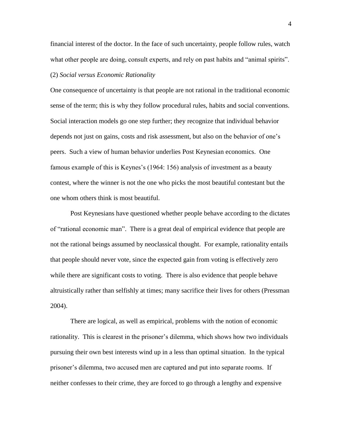financial interest of the doctor. In the face of such uncertainty, people follow rules, watch what other people are doing, consult experts, and rely on past habits and "animal spirits".

# (2) *Social versus Economic Rationality*

One consequence of uncertainty is that people are not rational in the traditional economic sense of the term; this is why they follow procedural rules, habits and social conventions. Social interaction models go one step further; they recognize that individual behavior depends not just on gains, costs and risk assessment, but also on the behavior of one's peers. Such a view of human behavior underlies Post Keynesian economics. One famous example of this is Keynes's (1964: 156) analysis of investment as a beauty contest, where the winner is not the one who picks the most beautiful contestant but the one whom others think is most beautiful.

Post Keynesians have questioned whether people behave according to the dictates of "rational economic man". There is a great deal of empirical evidence that people are not the rational beings assumed by neoclassical thought. For example, rationality entails that people should never vote, since the expected gain from voting is effectively zero while there are significant costs to voting. There is also evidence that people behave altruistically rather than selfishly at times; many sacrifice their lives for others (Pressman 2004).

There are logical, as well as empirical, problems with the notion of economic rationality. This is clearest in the prisoner's dilemma, which shows how two individuals pursuing their own best interests wind up in a less than optimal situation. In the typical prisoner's dilemma, two accused men are captured and put into separate rooms. If neither confesses to their crime, they are forced to go through a lengthy and expensive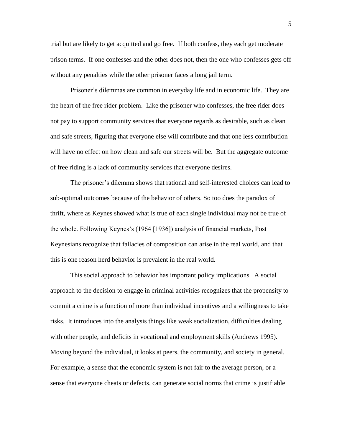trial but are likely to get acquitted and go free. If both confess, they each get moderate prison terms. If one confesses and the other does not, then the one who confesses gets off without any penalties while the other prisoner faces a long jail term.

Prisoner's dilemmas are common in everyday life and in economic life. They are the heart of the free rider problem. Like the prisoner who confesses, the free rider does not pay to support community services that everyone regards as desirable, such as clean and safe streets, figuring that everyone else will contribute and that one less contribution will have no effect on how clean and safe our streets will be. But the aggregate outcome of free riding is a lack of community services that everyone desires.

The prisoner's dilemma shows that rational and self-interested choices can lead to sub-optimal outcomes because of the behavior of others. So too does the paradox of thrift, where as Keynes showed what is true of each single individual may not be true of the whole. Following Keynes's (1964 [1936]) analysis of financial markets, Post Keynesians recognize that fallacies of composition can arise in the real world, and that this is one reason herd behavior is prevalent in the real world.

This social approach to behavior has important policy implications. A social approach to the decision to engage in criminal activities recognizes that the propensity to commit a crime is a function of more than individual incentives and a willingness to take risks. It introduces into the analysis things like weak socialization, difficulties dealing with other people, and deficits in vocational and employment skills (Andrews 1995). Moving beyond the individual, it looks at peers, the community, and society in general. For example, a sense that the economic system is not fair to the average person, or a sense that everyone cheats or defects, can generate social norms that crime is justifiable

5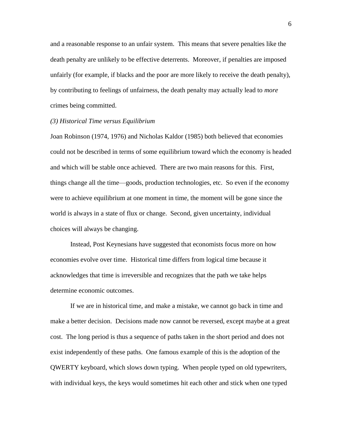and a reasonable response to an unfair system. This means that severe penalties like the death penalty are unlikely to be effective deterrents. Moreover, if penalties are imposed unfairly (for example, if blacks and the poor are more likely to receive the death penalty), by contributing to feelings of unfairness, the death penalty may actually lead to *more* crimes being committed.

#### *(3) Historical Time versus Equilibrium*

Joan Robinson (1974, 1976) and Nicholas Kaldor (1985) both believed that economies could not be described in terms of some equilibrium toward which the economy is headed and which will be stable once achieved. There are two main reasons for this. First, things change all the time—goods, production technologies, etc. So even if the economy were to achieve equilibrium at one moment in time, the moment will be gone since the world is always in a state of flux or change. Second, given uncertainty, individual choices will always be changing.

Instead, Post Keynesians have suggested that economists focus more on how economies evolve over time. Historical time differs from logical time because it acknowledges that time is irreversible and recognizes that the path we take helps determine economic outcomes.

If we are in historical time, and make a mistake, we cannot go back in time and make a better decision. Decisions made now cannot be reversed, except maybe at a great cost. The long period is thus a sequence of paths taken in the short period and does not exist independently of these paths. One famous example of this is the adoption of the QWERTY keyboard, which slows down typing. When people typed on old typewriters, with individual keys, the keys would sometimes hit each other and stick when one typed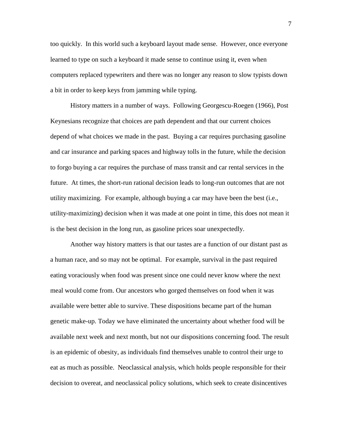too quickly. In this world such a keyboard layout made sense. However, once everyone learned to type on such a keyboard it made sense to continue using it, even when computers replaced typewriters and there was no longer any reason to slow typists down a bit in order to keep keys from jamming while typing.

History matters in a number of ways. Following Georgescu-Roegen (1966), Post Keynesians recognize that choices are path dependent and that our current choices depend of what choices we made in the past. Buying a car requires purchasing gasoline and car insurance and parking spaces and highway tolls in the future, while the decision to forgo buying a car requires the purchase of mass transit and car rental services in the future. At times, the short-run rational decision leads to long-run outcomes that are not utility maximizing. For example, although buying a car may have been the best (i.e., utility-maximizing) decision when it was made at one point in time, this does not mean it is the best decision in the long run, as gasoline prices soar unexpectedly.

Another way history matters is that our tastes are a function of our distant past as a human race, and so may not be optimal. For example, survival in the past required eating voraciously when food was present since one could never know where the next meal would come from. Our ancestors who gorged themselves on food when it was available were better able to survive. These dispositions became part of the human genetic make-up. Today we have eliminated the uncertainty about whether food will be available next week and next month, but not our dispositions concerning food. The result is an epidemic of obesity, as individuals find themselves unable to control their urge to eat as much as possible. Neoclassical analysis, which holds people responsible for their decision to overeat, and neoclassical policy solutions, which seek to create disincentives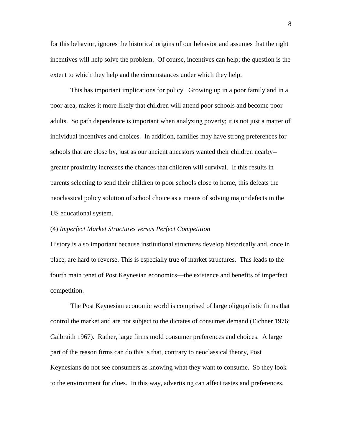for this behavior, ignores the historical origins of our behavior and assumes that the right incentives will help solve the problem. Of course, incentives can help; the question is the extent to which they help and the circumstances under which they help.

This has important implications for policy. Growing up in a poor family and in a poor area, makes it more likely that children will attend poor schools and become poor adults. So path dependence is important when analyzing poverty; it is not just a matter of individual incentives and choices. In addition, families may have strong preferences for schools that are close by, just as our ancient ancestors wanted their children nearby- greater proximity increases the chances that children will survival. If this results in parents selecting to send their children to poor schools close to home, this defeats the neoclassical policy solution of school choice as a means of solving major defects in the US educational system.

#### (4) *Imperfect Market Structures versus Perfect Competition*

History is also important because institutional structures develop historically and, once in place, are hard to reverse. This is especially true of market structures. This leads to the fourth main tenet of Post Keynesian economics—the existence and benefits of imperfect competition.

The Post Keynesian economic world is comprised of large oligopolistic firms that control the market and are not subject to the dictates of consumer demand (Eichner 1976; Galbraith 1967). Rather, large firms mold consumer preferences and choices. A large part of the reason firms can do this is that, contrary to neoclassical theory, Post Keynesians do not see consumers as knowing what they want to consume. So they look to the environment for clues. In this way, advertising can affect tastes and preferences.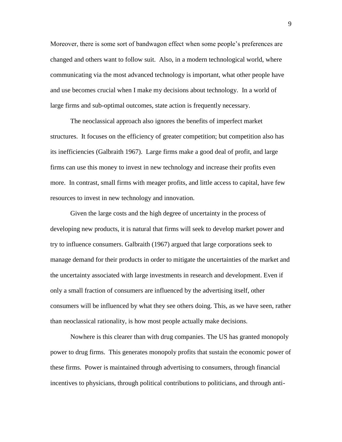Moreover, there is some sort of bandwagon effect when some people's preferences are changed and others want to follow suit. Also, in a modern technological world, where communicating via the most advanced technology is important, what other people have and use becomes crucial when I make my decisions about technology. In a world of large firms and sub-optimal outcomes, state action is frequently necessary.

The neoclassical approach also ignores the benefits of imperfect market structures. It focuses on the efficiency of greater competition; but competition also has its inefficiencies (Galbraith 1967). Large firms make a good deal of profit, and large firms can use this money to invest in new technology and increase their profits even more. In contrast, small firms with meager profits, and little access to capital, have few resources to invest in new technology and innovation.

Given the large costs and the high degree of uncertainty in the process of developing new products, it is natural that firms will seek to develop market power and try to influence consumers. Galbraith (1967) argued that large corporations seek to manage demand for their products in order to mitigate the uncertainties of the market and the uncertainty associated with large investments in research and development. Even if only a small fraction of consumers are influenced by the advertising itself, other consumers will be influenced by what they see others doing. This, as we have seen, rather than neoclassical rationality, is how most people actually make decisions.

Nowhere is this clearer than with drug companies. The US has granted monopoly power to drug firms. This generates monopoly profits that sustain the economic power of these firms. Power is maintained through advertising to consumers, through financial incentives to physicians, through political contributions to politicians, and through anti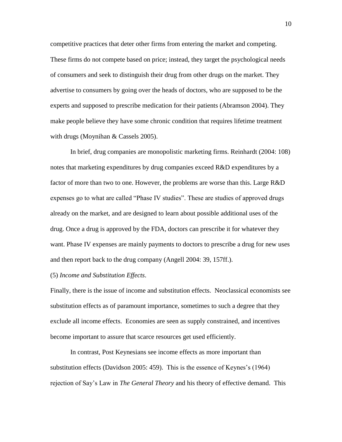competitive practices that deter other firms from entering the market and competing. These firms do not compete based on price; instead, they target the psychological needs of consumers and seek to distinguish their drug from other drugs on the market. They advertise to consumers by going over the heads of doctors, who are supposed to be the experts and supposed to prescribe medication for their patients (Abramson 2004). They make people believe they have some chronic condition that requires lifetime treatment with drugs (Moynihan & Cassels 2005).

In brief, drug companies are monopolistic marketing firms. Reinhardt (2004: 108) notes that marketing expenditures by drug companies exceed R&D expenditures by a factor of more than two to one. However, the problems are worse than this. Large R&D expenses go to what are called "Phase IV studies". These are studies of approved drugs already on the market, and are designed to learn about possible additional uses of the drug. Once a drug is approved by the FDA, doctors can prescribe it for whatever they want. Phase IV expenses are mainly payments to doctors to prescribe a drug for new uses and then report back to the drug company (Angell 2004: 39, 157ff.).

### (5) *Income and Substitution Effects*.

Finally, there is the issue of income and substitution effects. Neoclassical economists see substitution effects as of paramount importance, sometimes to such a degree that they exclude all income effects. Economies are seen as supply constrained, and incentives become important to assure that scarce resources get used efficiently.

In contrast, Post Keynesians see income effects as more important than substitution effects (Davidson 2005: 459). This is the essence of Keynes's (1964) rejection of Say's Law in *The General Theory* and his theory of effective demand. This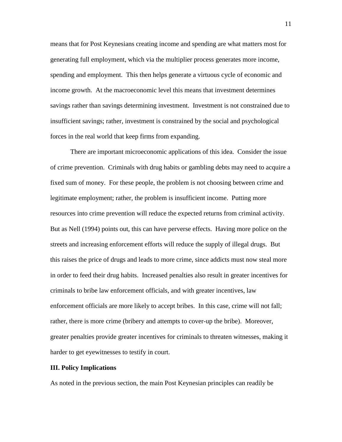means that for Post Keynesians creating income and spending are what matters most for generating full employment, which via the multiplier process generates more income, spending and employment. This then helps generate a virtuous cycle of economic and income growth. At the macroeconomic level this means that investment determines savings rather than savings determining investment. Investment is not constrained due to insufficient savings; rather, investment is constrained by the social and psychological forces in the real world that keep firms from expanding.

There are important microeconomic applications of this idea. Consider the issue of crime prevention. Criminals with drug habits or gambling debts may need to acquire a fixed sum of money. For these people, the problem is not choosing between crime and legitimate employment; rather, the problem is insufficient income. Putting more resources into crime prevention will reduce the expected returns from criminal activity. But as Nell (1994) points out, this can have perverse effects. Having more police on the streets and increasing enforcement efforts will reduce the supply of illegal drugs. But this raises the price of drugs and leads to more crime, since addicts must now steal more in order to feed their drug habits. Increased penalties also result in greater incentives for criminals to bribe law enforcement officials, and with greater incentives, law enforcement officials are more likely to accept bribes. In this case, crime will not fall; rather, there is more crime (bribery and attempts to cover-up the bribe). Moreover, greater penalties provide greater incentives for criminals to threaten witnesses, making it harder to get eyewitnesses to testify in court.

## **III. Policy Implications**

As noted in the previous section, the main Post Keynesian principles can readily be

11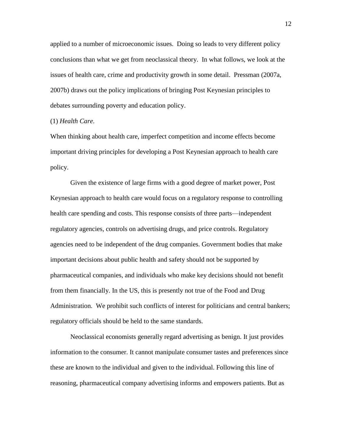applied to a number of microeconomic issues. Doing so leads to very different policy conclusions than what we get from neoclassical theory. In what follows, we look at the issues of health care, crime and productivity growth in some detail. Pressman (2007a, 2007b) draws out the policy implications of bringing Post Keynesian principles to debates surrounding poverty and education policy.

### (1) *Health Care*.

When thinking about health care, imperfect competition and income effects become important driving principles for developing a Post Keynesian approach to health care policy.

Given the existence of large firms with a good degree of market power, Post Keynesian approach to health care would focus on a regulatory response to controlling health care spending and costs. This response consists of three parts—independent regulatory agencies, controls on advertising drugs, and price controls. Regulatory agencies need to be independent of the drug companies. Government bodies that make important decisions about public health and safety should not be supported by pharmaceutical companies, and individuals who make key decisions should not benefit from them financially. In the US, this is presently not true of the Food and Drug Administration. We prohibit such conflicts of interest for politicians and central bankers; regulatory officials should be held to the same standards.

Neoclassical economists generally regard advertising as benign. It just provides information to the consumer. It cannot manipulate consumer tastes and preferences since these are known to the individual and given to the individual. Following this line of reasoning, pharmaceutical company advertising informs and empowers patients. But as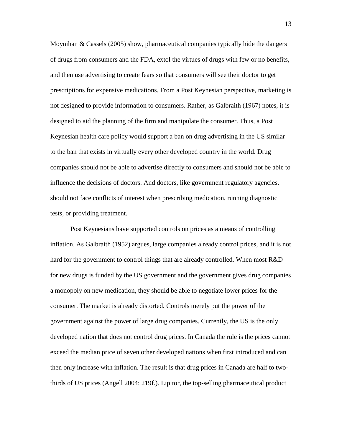Moynihan & Cassels (2005) show, pharmaceutical companies typically hide the dangers of drugs from consumers and the FDA, extol the virtues of drugs with few or no benefits, and then use advertising to create fears so that consumers will see their doctor to get prescriptions for expensive medications. From a Post Keynesian perspective, marketing is not designed to provide information to consumers. Rather, as Galbraith (1967) notes, it is designed to aid the planning of the firm and manipulate the consumer. Thus, a Post Keynesian health care policy would support a ban on drug advertising in the US similar to the ban that exists in virtually every other developed country in the world. Drug companies should not be able to advertise directly to consumers and should not be able to influence the decisions of doctors. And doctors, like government regulatory agencies, should not face conflicts of interest when prescribing medication, running diagnostic tests, or providing treatment.

Post Keynesians have supported controls on prices as a means of controlling inflation. As Galbraith (1952) argues, large companies already control prices, and it is not hard for the government to control things that are already controlled. When most R&D for new drugs is funded by the US government and the government gives drug companies a monopoly on new medication, they should be able to negotiate lower prices for the consumer. The market is already distorted. Controls merely put the power of the government against the power of large drug companies. Currently, the US is the only developed nation that does not control drug prices. In Canada the rule is the prices cannot exceed the median price of seven other developed nations when first introduced and can then only increase with inflation. The result is that drug prices in Canada are half to twothirds of US prices (Angell 2004: 219f.). Lipitor, the top-selling pharmaceutical product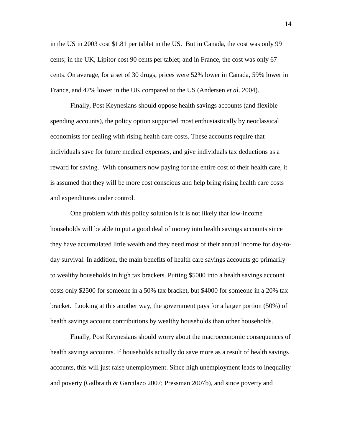in the US in 2003 cost \$1.81 per tablet in the US. But in Canada, the cost was only 99 cents; in the UK, Lipitor cost 90 cents per tablet; and in France, the cost was only 67 cents. On average, for a set of 30 drugs, prices were 52% lower in Canada, 59% lower in France, and 47% lower in the UK compared to the US (Andersen *et al*. 2004).

Finally, Post Keynesians should oppose health savings accounts (and flexible spending accounts), the policy option supported most enthusiastically by neoclassical economists for dealing with rising health care costs. These accounts require that individuals save for future medical expenses, and give individuals tax deductions as a reward for saving. With consumers now paying for the entire cost of their health care, it is assumed that they will be more cost conscious and help bring rising health care costs and expenditures under control.

One problem with this policy solution is it is not likely that low-income households will be able to put a good deal of money into health savings accounts since they have accumulated little wealth and they need most of their annual income for day-today survival. In addition, the main benefits of health care savings accounts go primarily to wealthy households in high tax brackets. Putting \$5000 into a health savings account costs only \$2500 for someone in a 50% tax bracket, but \$4000 for someone in a 20% tax bracket. Looking at this another way, the government pays for a larger portion (50%) of health savings account contributions by wealthy households than other households.

Finally, Post Keynesians should worry about the macroeconomic consequences of health savings accounts. If households actually do save more as a result of health savings accounts, this will just raise unemployment. Since high unemployment leads to inequality and poverty (Galbraith & Garcilazo 2007; Pressman 2007b), and since poverty and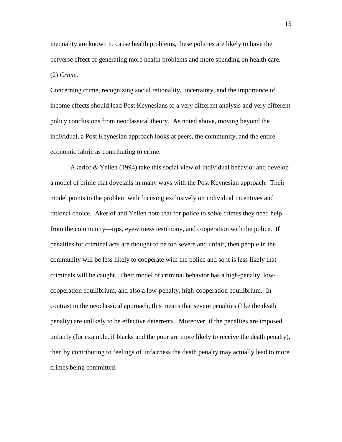inequality are known to cause health problems, these policies are likely to have the perverse effect of generating more health problems and more spending on health care. (2) *Crime*.

Concerning crime, recognizing social rationality, uncertainty, and the importance of income effects should lead Post Keynesians to a very different analysis and very different policy conclusions from neoclassical theory. As noted above, moving beyond the individual, a Post Keynesian approach looks at peers, the community, and the entire economic fabric as contributing to crime.

Akerlof & Yellen (1994) take this social view of individual behavior and develop a model of crime that dovetails in many ways with the Post Keynesian approach. Their model points to the problem with focusing exclusively on individual incentives and rational choice. Akerlof and Yellen note that for police to solve crimes they need help from the community—tips, eyewitness testimony, and cooperation with the police. If penalties for criminal acts are thought to be too severe and unfair, then people in the community will be less likely to cooperate with the police and so it is less likely that criminals will be caught. Their model of criminal behavior has a high-penalty, lowcooperation equilibrium, and also a low-penalty, high-cooperation equilibrium. In contrast to the neoclassical approach, this means that severe penalties (like the death penalty) are unlikely to be effective deterrents. Moreover, if the penalties are imposed unfairly (for example, if blacks and the poor are more likely to receive the death penalty), then by contributing to feelings of unfairness the death penalty may actually lead to more crimes being committed.

15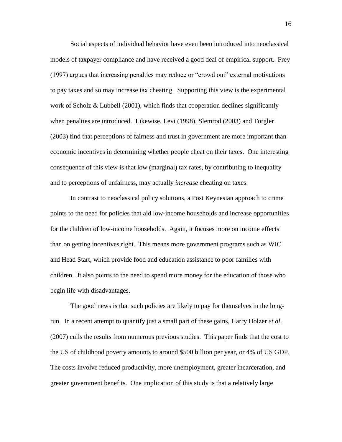Social aspects of individual behavior have even been introduced into neoclassical models of taxpayer compliance and have received a good deal of empirical support. Frey (1997) argues that increasing penalties may reduce or "crowd out" external motivations to pay taxes and so may increase tax cheating. Supporting this view is the experimental work of Scholz & Lubbell (2001), which finds that cooperation declines significantly when penalties are introduced. Likewise, Levi (1998), Slemrod (2003) and Torgler (2003) find that perceptions of fairness and trust in government are more important than economic incentives in determining whether people cheat on their taxes. One interesting consequence of this view is that low (marginal) tax rates, by contributing to inequality and to perceptions of unfairness, may actually *increase* cheating on taxes.

In contrast to neoclassical policy solutions, a Post Keynesian approach to crime points to the need for policies that aid low-income households and increase opportunities for the children of low-income households. Again, it focuses more on income effects than on getting incentives right. This means more government programs such as WIC and Head Start, which provide food and education assistance to poor families with children. It also points to the need to spend more money for the education of those who begin life with disadvantages.

The good news is that such policies are likely to pay for themselves in the longrun. In a recent attempt to quantify just a small part of these gains, Harry Holzer *et al*. (2007) culls the results from numerous previous studies. This paper finds that the cost to the US of childhood poverty amounts to around \$500 billion per year, or 4% of US GDP. The costs involve reduced productivity, more unemployment, greater incarceration, and greater government benefits. One implication of this study is that a relatively large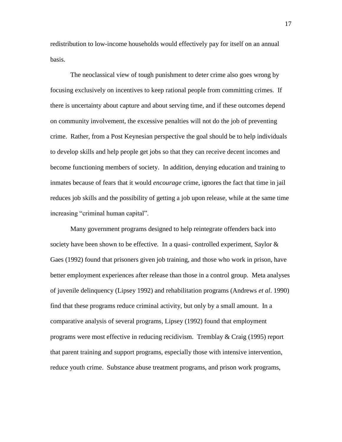redistribution to low-income households would effectively pay for itself on an annual basis.

The neoclassical view of tough punishment to deter crime also goes wrong by focusing exclusively on incentives to keep rational people from committing crimes. If there is uncertainty about capture and about serving time, and if these outcomes depend on community involvement, the excessive penalties will not do the job of preventing crime. Rather, from a Post Keynesian perspective the goal should be to help individuals to develop skills and help people get jobs so that they can receive decent incomes and become functioning members of society. In addition, denying education and training to inmates because of fears that it would *encourage* crime, ignores the fact that time in jail reduces job skills and the possibility of getting a job upon release, while at the same time increasing "criminal human capital".

Many government programs designed to help reintegrate offenders back into society have been shown to be effective. In a quasi- controlled experiment, Saylor  $\&$ Gaes (1992) found that prisoners given job training, and those who work in prison, have better employment experiences after release than those in a control group. Meta analyses of juvenile delinquency (Lipsey 1992) and rehabilitation programs (Andrews *et al*. 1990) find that these programs reduce criminal activity, but only by a small amount. In a comparative analysis of several programs, Lipsey (1992) found that employment programs were most effective in reducing recidivism. Tremblay & Craig (1995) report that parent training and support programs, especially those with intensive intervention, reduce youth crime. Substance abuse treatment programs, and prison work programs,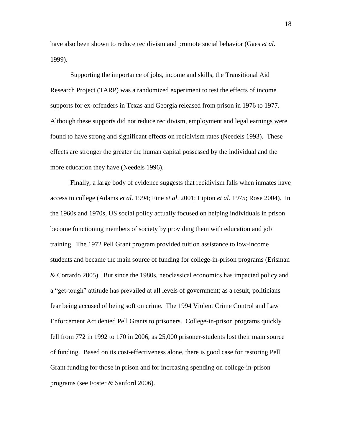have also been shown to reduce recidivism and promote social behavior (Gaes *et al*. 1999).

Supporting the importance of jobs, income and skills, the Transitional Aid Research Project (TARP) was a randomized experiment to test the effects of income supports for ex-offenders in Texas and Georgia released from prison in 1976 to 1977. Although these supports did not reduce recidivism, employment and legal earnings were found to have strong and significant effects on recidivism rates (Needels 1993). These effects are stronger the greater the human capital possessed by the individual and the more education they have (Needels 1996).

Finally, a large body of evidence suggests that recidivism falls when inmates have access to college (Adams *et al*. 1994; Fine *et al*. 2001; Lipton *et al*. 1975; Rose 2004). In the 1960s and 1970s, US social policy actually focused on helping individuals in prison become functioning members of society by providing them with education and job training. The 1972 Pell Grant program provided tuition assistance to low-income students and became the main source of funding for college-in-prison programs (Erisman & Cortardo 2005). But since the 1980s, neoclassical economics has impacted policy and a "get-tough" attitude has prevailed at all levels of government; as a result, politicians fear being accused of being soft on crime. The 1994 Violent Crime Control and Law Enforcement Act denied Pell Grants to prisoners. College-in-prison programs quickly fell from 772 in 1992 to 170 in 2006, as 25,000 prisoner-students lost their main source of funding. Based on its cost-effectiveness alone, there is good case for restoring Pell Grant funding for those in prison and for increasing spending on college-in-prison programs (see Foster & Sanford 2006).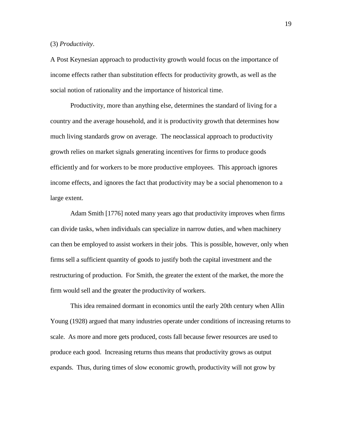### (3) *Productivity*.

A Post Keynesian approach to productivity growth would focus on the importance of income effects rather than substitution effects for productivity growth, as well as the social notion of rationality and the importance of historical time.

Productivity, more than anything else, determines the standard of living for a country and the average household, and it is productivity growth that determines how much living standards grow on average. The neoclassical approach to productivity growth relies on market signals generating incentives for firms to produce goods efficiently and for workers to be more productive employees. This approach ignores income effects, and ignores the fact that productivity may be a social phenomenon to a large extent.

Adam Smith [1776] noted many years ago that productivity improves when firms can divide tasks, when individuals can specialize in narrow duties, and when machinery can then be employed to assist workers in their jobs. This is possible, however, only when firms sell a sufficient quantity of goods to justify both the capital investment and the restructuring of production. For Smith, the greater the extent of the market, the more the firm would sell and the greater the productivity of workers.

This idea remained dormant in economics until the early 20th century when Allin Young (1928) argued that many industries operate under conditions of increasing returns to scale. As more and more gets produced, costs fall because fewer resources are used to produce each good. Increasing returns thus means that productivity grows as output expands. Thus, during times of slow economic growth, productivity will not grow by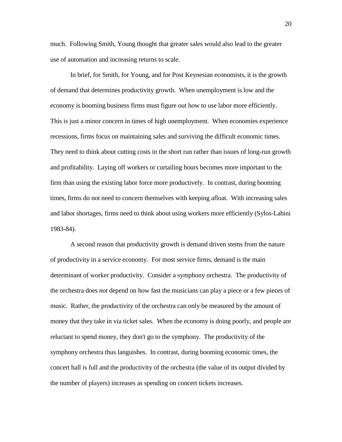much. Following Smith, Young thought that greater sales would also lead to the greater use of automation and increasing returns to scale.

In brief, for Smith, for Young, and for Post Keynesian economists, it is the growth of demand that determines productivity growth. When unemployment is low and the economy is booming business firms must figure out how to use labor more efficiently. This is just a minor concern in times of high unemployment. When economies experience recessions, firms focus on maintaining sales and surviving the difficult economic times. They need to think about cutting costs in the short run rather than issues of long-run growth and profitability. Laying off workers or curtailing hours becomes more important to the firm than using the existing labor force more productively. In contrast, during booming times, firms do not need to concern themselves with keeping afloat. With increasing sales and labor shortages, firms need to think about using workers more efficiently (Sylos-Labini 1983-84).

A second reason that productivity growth is demand driven stems from the nature of productivity in a service economy. For most service firms, demand is the main determinant of worker productivity. Consider a symphony orchestra. The productivity of the orchestra does *not* depend on how fast the musicians can play a piece or a few pieces of music. Rather, the productivity of the orchestra can only be measured by the amount of money that they take in via ticket sales. When the economy is doing poorly, and people are reluctant to spend money, they don't go to the symphony. The productivity of the symphony orchestra thus languishes. In contrast, during booming economic times, the concert hall is full and the productivity of the orchestra (the value of its output divided by the number of players) increases as spending on concert tickets increases.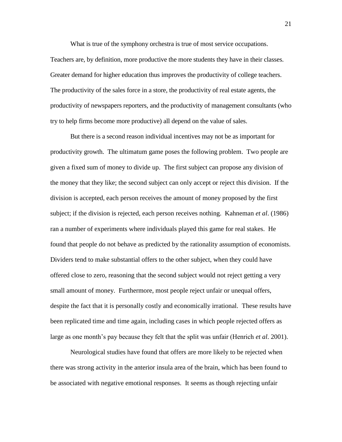What is true of the symphony orchestra is true of most service occupations.

Teachers are, by definition, more productive the more students they have in their classes. Greater demand for higher education thus improves the productivity of college teachers. The productivity of the sales force in a store, the productivity of real estate agents, the productivity of newspapers reporters, and the productivity of management consultants (who try to help firms become more productive) all depend on the value of sales.

But there is a second reason individual incentives may not be as important for productivity growth. The ultimatum game poses the following problem. Two people are given a fixed sum of money to divide up. The first subject can propose any division of the money that they like; the second subject can only accept or reject this division. If the division is accepted, each person receives the amount of money proposed by the first subject; if the division is rejected, each person receives nothing. Kahneman *et al*. (1986) ran a number of experiments where individuals played this game for real stakes. He found that people do not behave as predicted by the rationality assumption of economists. Dividers tend to make substantial offers to the other subject, when they could have offered close to zero, reasoning that the second subject would not reject getting a very small amount of money. Furthermore, most people reject unfair or unequal offers, despite the fact that it is personally costly and economically irrational. These results have been replicated time and time again, including cases in which people rejected offers as large as one month's pay because they felt that the split was unfair (Henrich *et al*. 2001).

Neurological studies have found that offers are more likely to be rejected when there was strong activity in the anterior insula area of the brain, which has been found to be associated with negative emotional responses. It seems as though rejecting unfair

21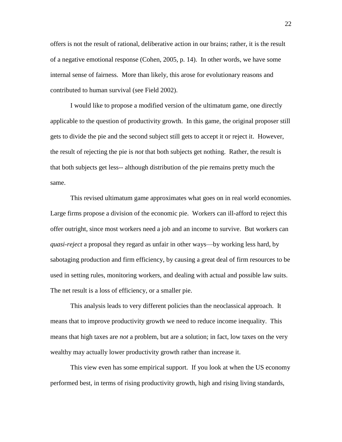offers is not the result of rational, deliberative action in our brains; rather, it is the result of a negative emotional response (Cohen, 2005, p. 14). In other words, we have some internal sense of fairness. More than likely, this arose for evolutionary reasons and contributed to human survival (see Field 2002).

I would like to propose a modified version of the ultimatum game, one directly applicable to the question of productivity growth. In this game, the original proposer still gets to divide the pie and the second subject still gets to accept it or reject it. However, the result of rejecting the pie is *not* that both subjects get nothing. Rather, the result is that both subjects get less-- although distribution of the pie remains pretty much the same.

This revised ultimatum game approximates what goes on in real world economies. Large firms propose a division of the economic pie. Workers can ill-afford to reject this offer outright, since most workers need a job and an income to survive. But workers can *quasi-reject* a proposal they regard as unfair in other ways—by working less hard, by sabotaging production and firm efficiency, by causing a great deal of firm resources to be used in setting rules, monitoring workers, and dealing with actual and possible law suits. The net result is a loss of efficiency, or a smaller pie.

This analysis leads to very different policies than the neoclassical approach. It means that to improve productivity growth we need to reduce income inequality. This means that high taxes are *not* a problem, but are a solution; in fact, low taxes on the very wealthy may actually lower productivity growth rather than increase it.

This view even has some empirical support. If you look at when the US economy performed best, in terms of rising productivity growth, high and rising living standards,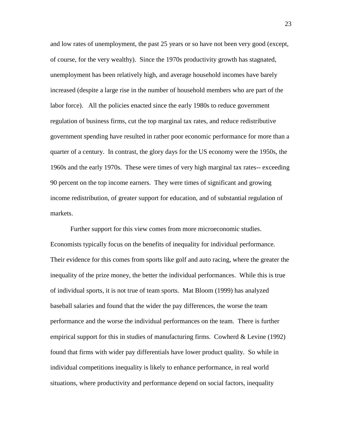and low rates of unemployment, the past 25 years or so have not been very good (except, of course, for the very wealthy). Since the 1970s productivity growth has stagnated, unemployment has been relatively high, and average household incomes have barely increased (despite a large rise in the number of household members who are part of the labor force). All the policies enacted since the early 1980s to reduce government regulation of business firms, cut the top marginal tax rates, and reduce redistributive government spending have resulted in rather poor economic performance for more than a quarter of a century. In contrast, the glory days for the US economy were the 1950s, the 1960s and the early 1970s. These were times of very high marginal tax rates-- exceeding 90 percent on the top income earners. They were times of significant and growing income redistribution, of greater support for education, and of substantial regulation of markets.

Further support for this view comes from more microeconomic studies. Economists typically focus on the benefits of inequality for individual performance. Their evidence for this comes from sports like golf and auto racing, where the greater the inequality of the prize money, the better the individual performances. While this is true of individual sports, it is not true of team sports. Mat Bloom (1999) has analyzed baseball salaries and found that the wider the pay differences, the worse the team performance and the worse the individual performances on the team. There is further empirical support for this in studies of manufacturing firms. Cowherd & Levine (1992) found that firms with wider pay differentials have lower product quality. So while in individual competitions inequality is likely to enhance performance, in real world situations, where productivity and performance depend on social factors, inequality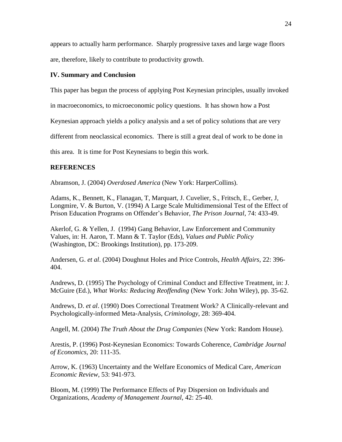appears to actually harm performance. Sharply progressive taxes and large wage floors are, therefore, likely to contribute to productivity growth.

## **IV. Summary and Conclusion**

This paper has begun the process of applying Post Keynesian principles, usually invoked

in macroeconomics, to microeconomic policy questions. It has shown how a Post

Keynesian approach yields a policy analysis and a set of policy solutions that are very

different from neoclassical economics. There is still a great deal of work to be done in

this area. It is time for Post Keynesians to begin this work.

### **REFERENCES**

Abramson, J. (2004) *Overdosed America* (New York: HarperCollins).

Adams, K., Bennett, K., Flanagan, T, Marquart, J. Cuvelier, S., Fritsch, E., Gerber, J, Longmire, V. & Burton, V. (1994) A Large Scale Multidimensional Test of the Effect of Prison Education Programs on Offender's Behavior, *The Prison Journal*, 74: 433-49.

Akerlof, G. & Yellen, J. (1994) Gang Behavior, Law Enforcement and Community Values, in: H. Aaron, T. Mann & T. Taylor (Eds), *Values and Public Policy* (Washington, DC: Brookings Institution), pp. 173-209.

Andersen, G. *et al*. (2004) Doughnut Holes and Price Controls, *Health Affairs*, 22: 396- 404.

Andrews, D. (1995) The Psychology of Criminal Conduct and Effective Treatment, in: J. McGuire (Ed.), *What Works: Reducing Reoffending* (New York: John Wiley), pp. 35-62.

Andrews, D. *et al*. (1990) Does Correctional Treatment Work? A Clinically-relevant and Psychologically-informed Meta-Analysis, *Criminology*, 28: 369-404.

Angell, M. (2004) *The Truth About the Drug Companies* (New York: Random House).

Arestis, P. (1996) Post-Keynesian Economics: Towards Coherence, *Cambridge Journal of Economics*, 20: 111-35.

Arrow, K. (1963) Uncertainty and the Welfare Economics of Medical Care, *American Economic Review*, 53: 941-973.

Bloom, M. (1999) The Performance Effects of Pay Dispersion on Individuals and Organizations, *Academy of Management Journal*, 42: 25-40.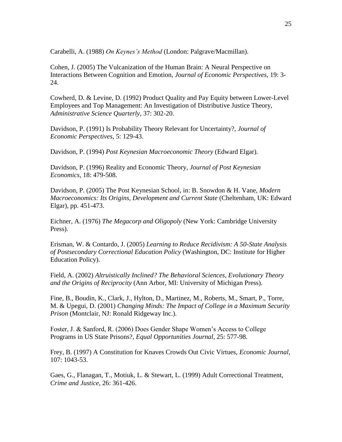Carabelli, A. (1988) *On Keynes's Method* (London: Palgrave/Macmillan).

Cohen, J. (2005) The Vulcanization of the Human Brain: A Neural Perspective on Interactions Between Cognition and Emotion, *Journal of Economic Perspectives*, 19: 3- 24.

Cowherd, D. & Levine, D. (1992) Product Quality and Pay Equity between Lower-Level Employees and Top Management: An Investigation of Distributive Justice Theory, *Administrative Science Quarterly*, 37: 302-20.

Davidson, P. (1991) Is Probability Theory Relevant for Uncertainty?, *Journal of Economic Perspectives*, 5: 129-43.

Davidson, P. (1994) *Post Keynesian Macroeconomic Theory* (Edward Elgar).

Davidson, P. (1996) Reality and Economic Theory, *Journal of Post Keynesian Economics*, 18: 479-508.

Davidson, P. (2005) The Post Keynesian School, in: B. Snowdon & H. Vane, *Modern Macroeconomics: Its Origins, Development and Current State* (Cheltenham, UK: Edward Elgar), pp. 451-473.

Eichner, A. (1976) *The Megacorp and Oligopoly* (New York: Cambridge University Press).

Erisman, W. & Contardo, J. (2005) *Learning to Reduce Recidivism: A 50-State Analysis of Postsecondary Correctional Education Policy* (Washington, DC: Institute for Higher Education Policy).

Field, A. (2002) *Altruistically Inclined? The Behavioral Sciences, Evolutionary Theory and the Origins of Reciprocity* (Ann Arbor, MI: University of Michigan Press).

Fine, B., Boudin, K., Clark, J., Hylton, D., Martinez, M., Roberts, M., Smart, P., Torre, M. & Upegui, D. (2001) *Changing Minds: The Impact of College in a Maximum Security Prison* (Montclair, NJ: Ronald Ridgeway Inc.).

Foster, J. & Sanford, R. (2006) Does Gender Shape Women's Access to College Programs in US State Prisons?, *Equal Opportunities Journal*, 25: 577-98.

Frey, B. (1997) A Constitution for Knaves Crowds Out Civic Virtues, *Economic Journal*, 107: 1043-53.

Gaes, G., Flanagan, T., Motiuk, L. & Stewart, L. (1999) Adult Correctional Treatment, *Crime and Justice*, 26: 361-426.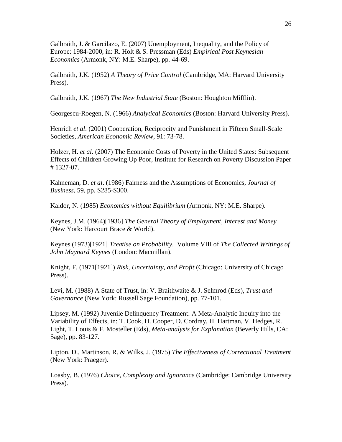Galbraith, J. & Garcilazo, E. (2007) Unemployment, Inequality, and the Policy of Europe: 1984-2000, in: R. Holt & S. Pressman (Eds) *Empirical Post Keynesian Economics* (Armonk, NY: M.E. Sharpe), pp. 44-69.

Galbraith, J.K. (1952) *A Theory of Price Control* (Cambridge, MA: Harvard University Press).

Galbraith, J.K. (1967) *The New Industrial State* (Boston: Houghton Mifflin).

Georgescu-Roegen, N. (1966) *Analytical Economics* (Boston: Harvard University Press).

Henrich *et al*. (2001) Cooperation, Reciprocity and Punishment in Fifteen Small-Scale Societies, *American Economic Review*, 91: 73-78.

Holzer, H. *et al*. (2007) The Economic Costs of Poverty in the United States: Subsequent Effects of Children Growing Up Poor, Institute for Research on Poverty Discussion Paper # 1327-07.

Kahneman, D. *et al*. (1986) Fairness and the Assumptions of Economics, *Journal of Business*, 59, pp. S285-S300.

Kaldor, N. (1985) *Economics without Equilibrium* (Armonk, NY: M.E. Sharpe).

Keynes, J.M. (1964)[1936] *The General Theory of Employment, Interest and Money* (New York: Harcourt Brace & World).

Keynes (1973)[1921] *Treatise on Probability*. Volume VIII of *The Collected Writings of John Maynard Keynes* (London: Macmillan).

Knight, F. (1971[1921]) *Risk, Uncertainty, and Profit* (Chicago: University of Chicago Press).

Levi, M. (1988) A State of Trust, in: V. Braithwaite & J. Selmrod (Eds), *Trust and Governance* (New York: Russell Sage Foundation), pp. 77-101.

Lipsey, M. (1992) Juvenile Delinquency Treatment: A Meta-Analytic Inquiry into the Variability of Effects, in: T. Cook, H. Cooper, D. Cordray, H. Hartman, V. Hedges, R. Light, T. Louis & F. Mosteller (Eds), *Meta-analysis for Explanation* (Beverly Hills, CA: Sage), pp. 83-127.

Lipton, D., Martinson, R. & Wilks, J. (1975) *The Effectiveness of Correctional Treatment* (New York: Praeger).

Loasby, B. (1976) *Choice, Complexity and Ignorance* (Cambridge: Cambridge University Press).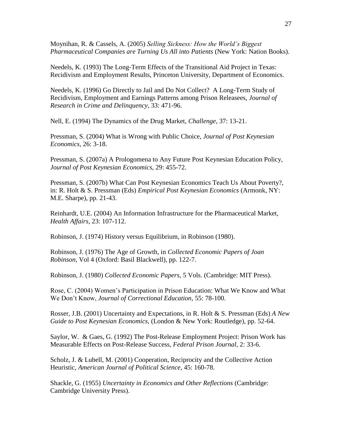Moynihan, R. & Cassels, A. (2005) *Selling Sickness: How the World's Biggest Pharmaceutical Companies are Turning Us All into Patients* (New York: Nation Books).

Needels, K. (1993) The Long-Term Effects of the Transitional Aid Project in Texas: Recidivism and Employment Results, Princeton University, Department of Economics.

Needels, K. (1996) Go Directly to Jail and Do Not Collect? A Long-Term Study of Recidivism, Employment and Earnings Patterns among Prison Releasees, *Journal of Research in Crime and Delinquency*, 33: 471-96.

Nell, E. (1994) The Dynamics of the Drug Market, *Challenge*, 37: 13-21.

Pressman, S. (2004) What is Wrong with Public Choice, *Journal of Post Keynesian Economics*, 26: 3-18.

Pressman, S. (2007a) A Prologomena to Any Future Post Keynesian Education Policy, *Journal of Post Keynesian Economics*, 29: 455-72.

Pressman, S. (2007b) What Can Post Keynesian Economics Teach Us About Poverty?, in: R. Holt & S. Pressman (Eds) *Empirical Post Keynesian Economics* (Armonk, NY: M.E. Sharpe), pp. 21-43.

Reinhardt, U.E. (2004) An Information Infrastructure for the Pharmaceutical Market, *Health Affairs*, 23: 107-112.

Robinson, J. (1974) History versus Equilibrium, in Robinson (1980).

Robinson, J. (1976) The Age of Growth, in *Collected Economic Papers of Joan Robinson*, Vol 4 (Oxford: Basil Blackwell), pp. 122-7.

Robinson, J. (1980) *Collected Economic Papers*, 5 Vols. (Cambridge: MIT Press).

Rose, C. (2004) Women's Participation in Prison Education: What We Know and What We Don't Know, *Journal of Correctional Education*, 55: 78-100.

Rosser, J.B. (2001) Uncertainty and Expectations, in R. Holt & S. Pressman (Eds) *A New Guide to Post Keynesian Economics*, (London & New York: Routledge), pp. 52-64.

Saylor, W. & Gaes, G. (1992) The Post-Release Employment Project: Prison Work has Measurable Effects on Post-Release Success, *Federal Prison Journal*, 2: 33-6.

Scholz, J. & Lubell, M. (2001) Cooperation, Reciprocity and the Collective Action Heuristic, *American Journal of Political Science*, 45: 160-78.

Shackle, G. (1955) *Uncertainty in Economics and Other Reflections* (Cambridge: Cambridge University Press).